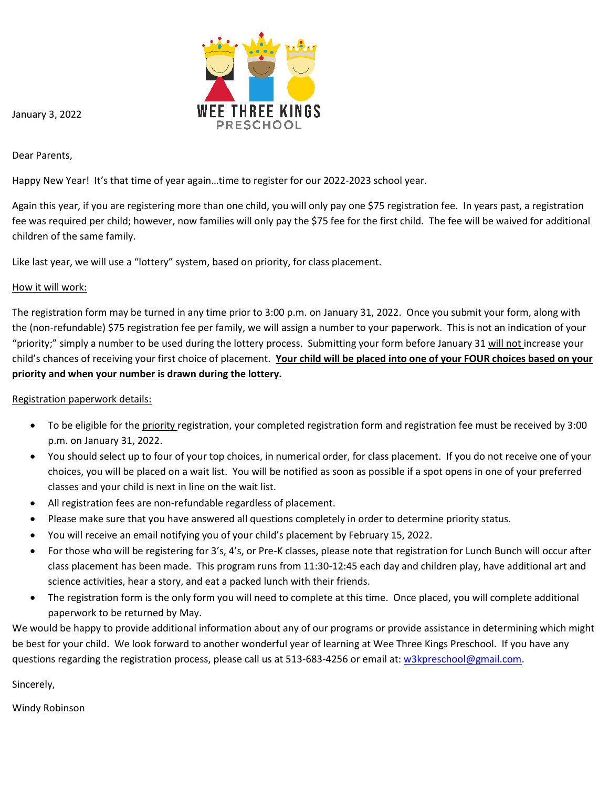

January 3, 2022

Dear Parents,

Happy New Year! It's that time of year again…time to register for our 2022-2023 school year.

Again this year, if you are registering more than one child, you will only pay one \$75 registration fee. In years past, a registration fee was required per child; however, now families will only pay the \$75 fee for the first child. The fee will be waived for additional children of the same family.

Like last year, we will use a "lottery" system, based on priority, for class placement.

## How it will work:

The registration form may be turned in any time prior to 3:00 p.m. on January 31, 2022. Once you submit your form, along with the (non-refundable) \$75 registration fee per family, we will assign a number to your paperwork. This is not an indication of your "priority;" simply a number to be used during the lottery process. Submitting your form before January 31 will not increase your child's chances of receiving your first choice of placement. **Your child will be placed into one of your FOUR choices based on your priority and when your number is drawn during the lottery.**

Registration paperwork details:

- To be eligible for the priority registration, your completed registration form and registration fee must be received by 3:00 p.m. on January 31, 2022.
- You should select up to four of your top choices, in numerical order, for class placement. If you do not receive one of your choices, you will be placed on a wait list. You will be notified as soon as possible if a spot opens in one of your preferred classes and your child is next in line on the wait list.
- All registration fees are non-refundable regardless of placement.
- Please make sure that you have answered all questions completely in order to determine priority status.
- You will receive an email notifying you of your child's placement by February 15, 2022.
- For those who will be registering for 3's, 4's, or Pre-K classes, please note that registration for Lunch Bunch will occur after class placement has been made. This program runs from 11:30-12:45 each day and children play, have additional art and science activities, hear a story, and eat a packed lunch with their friends.
- The registration form is the only form you will need to complete at this time. Once placed, you will complete additional paperwork to be returned by May.

We would be happy to provide additional information about any of our programs or provide assistance in determining which might be best for your child. We look forward to another wonderful year of learning at Wee Three Kings Preschool. If you have any questions regarding the registration process, please call us at 513-683-4256 or email at: [w3kpreschool@gmail.com.](mailto:w3kpreschool@gmail.com)

Sincerely,

Windy Robinson